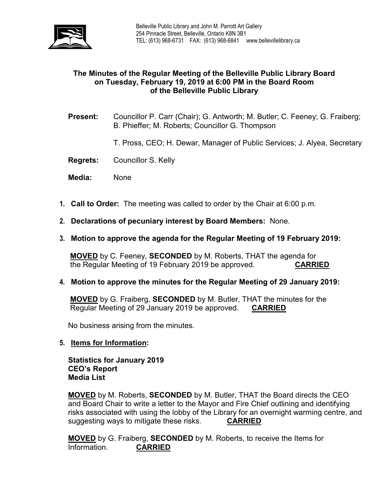

## **The Minutes of the Regular Meeting of the Belleville Public Library Board on Tuesday, February 19, 2019 at 6:00 PM in the Board Room of the Belleville Public Library**

- **Present:** Councillor P. Carr (Chair); G. Antworth; M. Butler; C. Feeney; G. Fraiberg; B. Phieffer; M. Roberts; Councillor G. Thompson
	- T. Pross, CEO; H. Dewar, Manager of Public Services; J. Alyea, Secretary
- **Regrets:** Councillor S. Kelly
- **Media:** None
- **1. Call to Order:** The meeting was called to order by the Chair at 6:00 p.m.
- **2. Declarations of pecuniary interest by Board Members:** None.
- **3. Motion to approve the agenda for the Regular Meeting of 19 February 2019:**

**MOVED** by C. Feeney, **SECONDED** by M. Roberts, THAT the agenda for the Regular Meeting of 19 February 2019 be approved. **CARRIED**

#### **4. Motion to approve the minutes for the Regular Meeting of 29 January 2019:**

**MOVED** by G. Fraiberg, **SECONDED** by M. Butler, THAT the minutes for the Regular Meeting of 29 January 2019 be approved. **CARRIED**

No business arising from the minutes.

**5. Items for Information:**

**Statistics for January 2019 CEO's Report Media List**

**MOVED** by M. Roberts, **SECONDED** by M. Butler, THAT the Board directs the CEO and Board Chair to write a letter to the Mayor and Fire Chief outlining and identifying risks associated with using the lobby of the Library for an overnight warming centre, and suggesting ways to mitigate these risks. **CARRIED**

**MOVED** by G. Fraiberg, **SECONDED** by M. Roberts, to receive the Items for Information. **CARRIED**